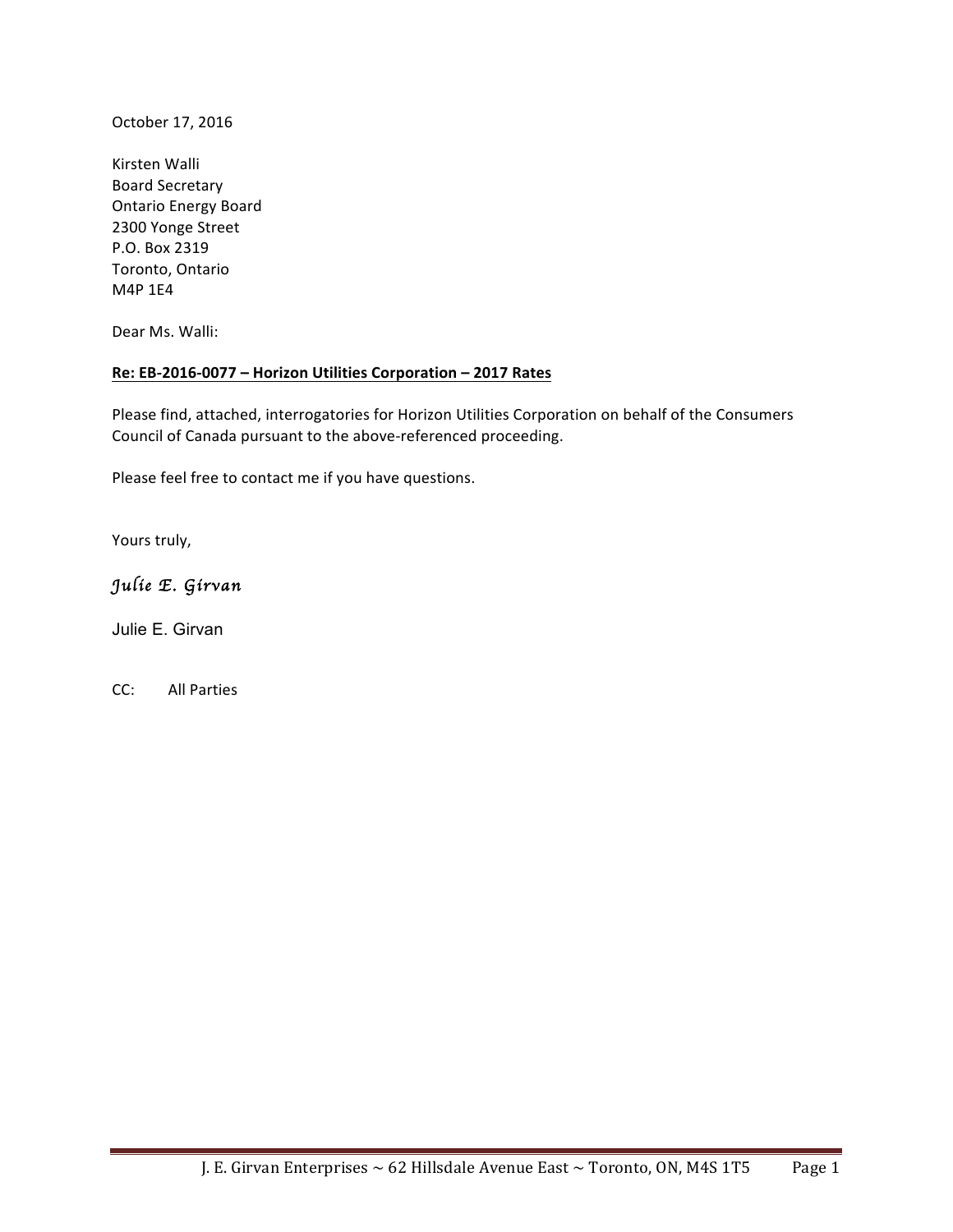October 17, 2016

Kirsten Walli Board Secretary **Ontario Energy Board** 2300 Yonge Street P.O. Box 2319 Toronto, Ontario M4P 1E4

Dear Ms. Walli:

#### Re: EB-2016-0077 - Horizon Utilities Corporation - 2017 Rates

Please find, attached, interrogatories for Horizon Utilities Corporation on behalf of the Consumers Council of Canada pursuant to the above-referenced proceeding.

Please feel free to contact me if you have questions.

Yours truly,

# *Julie E. Girvan*

Julie E. Girvan

CC: All Parties